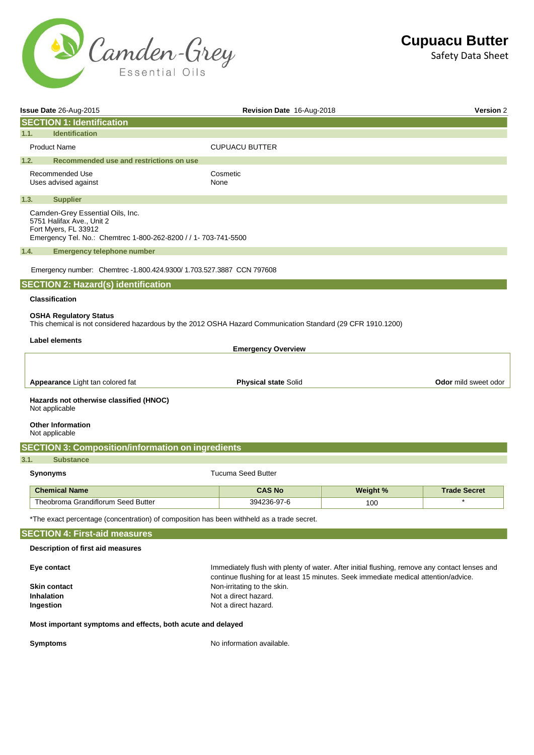

|                                      | Issue Date 26-Aug-2015                                                                                                                                   | Revision Date 16-Aug-2018   |          | <b>Version 2</b>            |  |
|--------------------------------------|----------------------------------------------------------------------------------------------------------------------------------------------------------|-----------------------------|----------|-----------------------------|--|
|                                      | <b>SECTION 1: Identification</b>                                                                                                                         |                             |          |                             |  |
| 1.1.                                 | <b>Identification</b>                                                                                                                                    |                             |          |                             |  |
|                                      | <b>Product Name</b><br><b>CUPUACU BUTTER</b>                                                                                                             |                             |          |                             |  |
| 1.2.                                 | Recommended use and restrictions on use                                                                                                                  |                             |          |                             |  |
|                                      | Recommended Use<br>Uses advised against                                                                                                                  | Cosmetic<br>None            |          |                             |  |
| 1.3.                                 | <b>Supplier</b>                                                                                                                                          |                             |          |                             |  |
|                                      | Camden-Grey Essential Oils, Inc.<br>5751 Halifax Ave., Unit 2<br>Fort Myers, FL 33912<br>Emergency Tel. No.: Chemtrec 1-800-262-8200 / / 1- 703-741-5500 |                             |          |                             |  |
| 1.4.                                 | <b>Emergency telephone number</b>                                                                                                                        |                             |          |                             |  |
|                                      | Emergency number: Chemtrec -1.800.424.9300/1.703.527.3887 CCN 797608                                                                                     |                             |          |                             |  |
|                                      | <b>SECTION 2: Hazard(s) identification</b>                                                                                                               |                             |          |                             |  |
|                                      | <b>Classification</b>                                                                                                                                    |                             |          |                             |  |
|                                      | <b>OSHA Regulatory Status</b><br>This chemical is not considered hazardous by the 2012 OSHA Hazard Communication Standard (29 CFR 1910.1200)             |                             |          |                             |  |
|                                      | Label elements                                                                                                                                           |                             |          |                             |  |
|                                      |                                                                                                                                                          | <b>Emergency Overview</b>   |          |                             |  |
|                                      |                                                                                                                                                          |                             |          |                             |  |
|                                      | Appearance Light tan colored fat                                                                                                                         | <b>Physical state Solid</b> |          | <b>Odor</b> mild sweet odor |  |
|                                      | Hazards not otherwise classified (HNOC)<br>Not applicable                                                                                                |                             |          |                             |  |
|                                      | <b>Other Information</b><br>Not applicable                                                                                                               |                             |          |                             |  |
|                                      | <b>SECTION 3: Composition/information on ingredients</b>                                                                                                 |                             |          |                             |  |
| 3.1.                                 | <b>Substance</b>                                                                                                                                         |                             |          |                             |  |
|                                      | Synonyms                                                                                                                                                 | <b>Tucuma Seed Butter</b>   |          |                             |  |
|                                      | <b>Chemical Name</b>                                                                                                                                     | <b>CAS No</b>               | Weight % | <b>Trade Secret</b>         |  |
|                                      | Theobroma Grandiflorum Seed Butter                                                                                                                       | 394236-97-6                 | 100      | $\ast$                      |  |
|                                      | *The exact percentage (concentration) of composition has been withheld as a trade secret.                                                                |                             |          |                             |  |
| <b>SECTION 4: First-aid measures</b> |                                                                                                                                                          |                             |          |                             |  |
|                                      | Description of first aid measures                                                                                                                        |                             |          |                             |  |
|                                      | Immediately flush with plenty of water. After initial flushing, remove any contact lenses and<br>Eye contact                                             |                             |          |                             |  |
|                                      | continue flushing for at least 15 minutes. Seek immediate medical attention/advice.<br><b>Skin contact</b><br>Non-irritating to the skin.                |                             |          |                             |  |
|                                      | <b>Inhalation</b><br>Not a direct hazard.                                                                                                                |                             |          |                             |  |
|                                      | Ingestion<br>Not a direct hazard.                                                                                                                        |                             |          |                             |  |
|                                      | Most important symptoms and effects, both acute and delayed                                                                                              |                             |          |                             |  |

**Symptoms No information available.**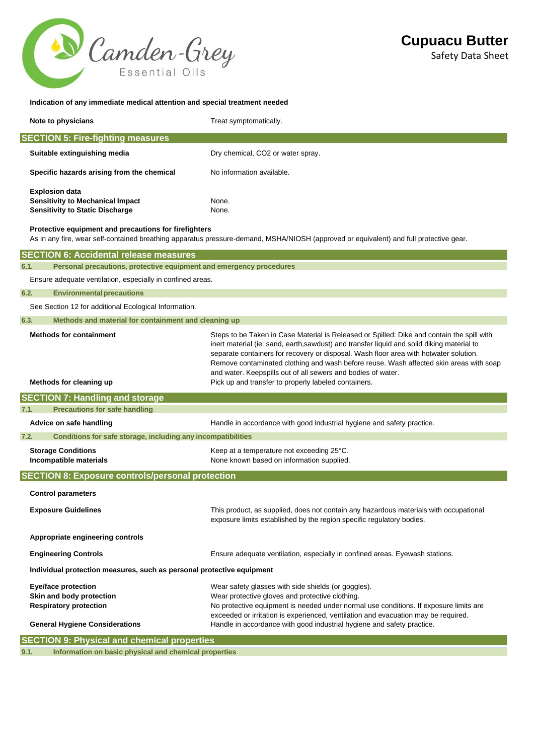

# **Indication of any immediate medical attention and special treatment needed**

| Note to physicians                                                                                                                     | Treat symptomatically.                        |  |  |
|----------------------------------------------------------------------------------------------------------------------------------------|-----------------------------------------------|--|--|
| <b>SECTION 5: Fire-fighting measures</b>                                                                                               |                                               |  |  |
| Suitable extinguishing media                                                                                                           | Dry chemical, CO <sub>2</sub> or water spray. |  |  |
| Specific hazards arising from the chemical                                                                                             | No information available.                     |  |  |
| <b>Explosion data</b>                                                                                                                  |                                               |  |  |
| <b>Sensitivity to Mechanical Impact</b>                                                                                                | None.                                         |  |  |
| <b>Sensitivity to Static Discharge</b>                                                                                                 | None.                                         |  |  |
| Protective equipment and precautions for firefighters                                                                                  |                                               |  |  |
| As in any fire, wear self-contained breathing apparatus pressure-demand, MSHA/NIOSH (approved or equivalent) and full protective gear. |                                               |  |  |
| <b>SECTION 6: Accidental release measures</b>                                                                                          |                                               |  |  |

| 6.1.                                                          | Personal precautions, protective equipment and emergency procedures                                                              |                                                                                                                                                                                                                                                                                                                                                                                                                                                                                                     |  |  |
|---------------------------------------------------------------|----------------------------------------------------------------------------------------------------------------------------------|-----------------------------------------------------------------------------------------------------------------------------------------------------------------------------------------------------------------------------------------------------------------------------------------------------------------------------------------------------------------------------------------------------------------------------------------------------------------------------------------------------|--|--|
|                                                               | Ensure adequate ventilation, especially in confined areas.                                                                       |                                                                                                                                                                                                                                                                                                                                                                                                                                                                                                     |  |  |
| 6.2.                                                          | <b>Environmental precautions</b>                                                                                                 |                                                                                                                                                                                                                                                                                                                                                                                                                                                                                                     |  |  |
|                                                               | See Section 12 for additional Ecological Information.                                                                            |                                                                                                                                                                                                                                                                                                                                                                                                                                                                                                     |  |  |
| 6.3.                                                          | Methods and material for containment and cleaning up                                                                             |                                                                                                                                                                                                                                                                                                                                                                                                                                                                                                     |  |  |
| <b>Methods for containment</b><br>Methods for cleaning up     |                                                                                                                                  | Steps to be Taken in Case Material is Released or Spilled: Dike and contain the spill with<br>inert material (ie: sand, earth, sawdust) and transfer liquid and solid diking material to<br>separate containers for recovery or disposal. Wash floor area with hotwater solution.<br>Remove contaminated clothing and wash before reuse. Wash affected skin areas with soap<br>and water. Keepspills out of all sewers and bodies of water.<br>Pick up and transfer to properly labeled containers. |  |  |
|                                                               | <b>SECTION 7: Handling and storage</b>                                                                                           |                                                                                                                                                                                                                                                                                                                                                                                                                                                                                                     |  |  |
| 7.1.                                                          | <b>Precautions for safe handling</b>                                                                                             |                                                                                                                                                                                                                                                                                                                                                                                                                                                                                                     |  |  |
|                                                               | Advice on safe handling                                                                                                          | Handle in accordance with good industrial hygiene and safety practice.                                                                                                                                                                                                                                                                                                                                                                                                                              |  |  |
| 7.2.                                                          | Conditions for safe storage, including any incompatibilities                                                                     |                                                                                                                                                                                                                                                                                                                                                                                                                                                                                                     |  |  |
|                                                               | <b>Storage Conditions</b><br>Incompatible materials                                                                              | Keep at a temperature not exceeding 25°C.<br>None known based on information supplied.                                                                                                                                                                                                                                                                                                                                                                                                              |  |  |
|                                                               | <b>SECTION 8: Exposure controls/personal protection</b>                                                                          |                                                                                                                                                                                                                                                                                                                                                                                                                                                                                                     |  |  |
|                                                               | <b>Control parameters</b>                                                                                                        |                                                                                                                                                                                                                                                                                                                                                                                                                                                                                                     |  |  |
|                                                               | <b>Exposure Guidelines</b>                                                                                                       | This product, as supplied, does not contain any hazardous materials with occupational<br>exposure limits established by the region specific regulatory bodies.                                                                                                                                                                                                                                                                                                                                      |  |  |
| Appropriate engineering controls                              |                                                                                                                                  |                                                                                                                                                                                                                                                                                                                                                                                                                                                                                                     |  |  |
|                                                               | <b>Engineering Controls</b>                                                                                                      | Ensure adequate ventilation, especially in confined areas. Eyewash stations.                                                                                                                                                                                                                                                                                                                                                                                                                        |  |  |
|                                                               | Individual protection measures, such as personal protective equipment                                                            |                                                                                                                                                                                                                                                                                                                                                                                                                                                                                                     |  |  |
|                                                               | <b>Eye/face protection</b><br>Skin and body protection<br><b>Respiratory protection</b><br><b>General Hygiene Considerations</b> | Wear safety glasses with side shields (or goggles).<br>Wear protective gloves and protective clothing.<br>No protective equipment is needed under normal use conditions. If exposure limits are<br>exceeded or irritation is experienced, ventilation and evacuation may be required.<br>Handle in accordance with good industrial hygiene and safety practice.                                                                                                                                     |  |  |
| <b>SECTION 9: Physical and chemical properties</b>            |                                                                                                                                  |                                                                                                                                                                                                                                                                                                                                                                                                                                                                                                     |  |  |
| Information on basic physical and chemical properties<br>9.1. |                                                                                                                                  |                                                                                                                                                                                                                                                                                                                                                                                                                                                                                                     |  |  |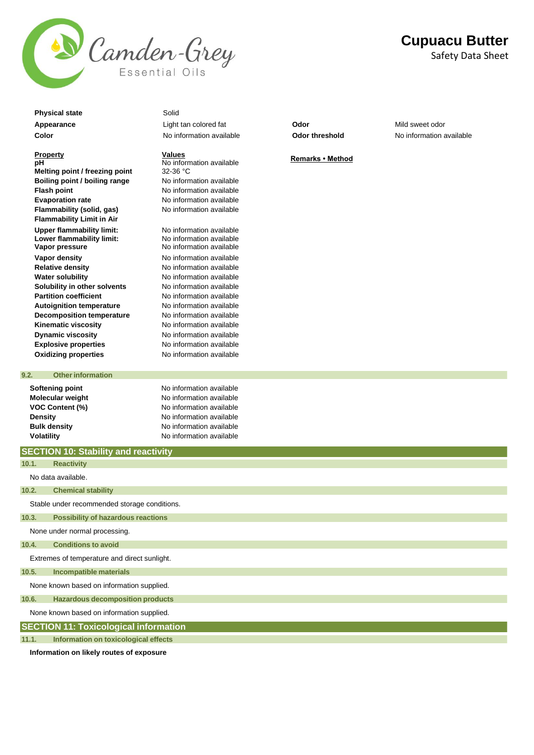

**Physical state** Solid

#### **Property pH**

**Melting point / freezing point Boiling point / boiling range** No information available **Flash point** No information available **Evaporation rate** No information available **Flammability (solid, gas)** No information available **Flammability Limit in Air Upper flammability limit: Lower flammability limit: Vapor pressure Vapor density Vapor density No information available Relative density** No information available **Water solubility** Mo information available **Solubility in other solvents** No information available **Partition coefficient** No information available **Autoignition temperature** No information available **Decomposition temperature** No information available **Kinematic viscosity** No information available **Dynamic viscosity** No information available **Explosive properties** No information available

**9.2. Other information** 

**Appearance** Light tan colored fat **Odor** Mild sweet odor

**Values <u>Values</u>**<br>No information available<br>32-36 °C

No information available No information available No information available **Oxidizing properties** No information available

**Softening point No information available Molecular weight** No information available **VOC Content (%)** No information available **Density Density Density Reserves No** information available<br> **Bulk density No** information available **No information available Volatility Volatility Volatility No information available** 

# **SECTION 10: Stability and reactivity**

No data available. Stable under recommended storage conditions. None under normal processing. **10.1. Reactivity 10.2. Chemical stability 10.3. Possibility of hazardous reactions 10.4. Conditions to avoid**

Extremes of temperature and direct sunlight.

**10.5. Incompatible materials**

None known based on information supplied.

**10.6. Hazardous decomposition products**

None known based on information supplied.

**SECTION 11: Toxicological information**

**11.1. Information on toxicological effects**

**Information on likely routes of exposure** 

**Cupuacu Butter** Safety Data Sheet

**Color** No information available **Odor threshold** No information available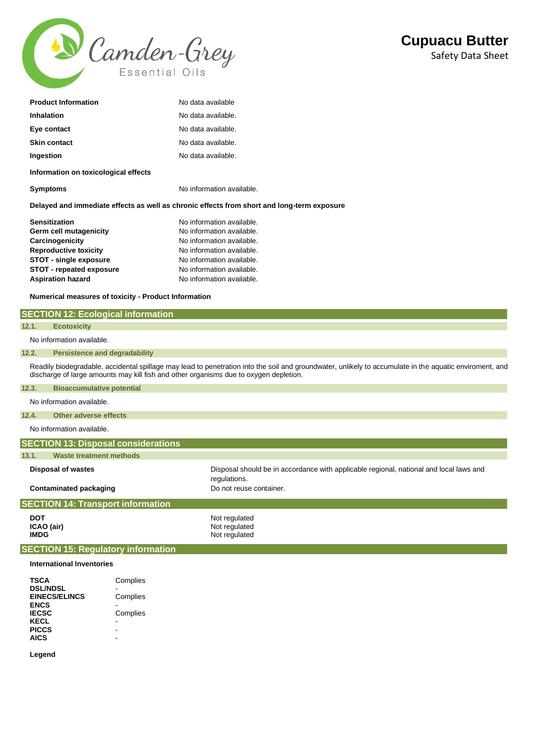

| <b>Product Information</b>           | No data available  |
|--------------------------------------|--------------------|
| Inhalation                           | No data available. |
| Eye contact                          | No data available. |
| <b>Skin contact</b>                  | No data available. |
| Ingestion                            | No data available. |
| Information on toxicological effects |                    |

**Symptoms** No information available.

**Delayed and immediate effects as well as chronic effects from short and long-term exposure** 

| <b>Sensitization</b>            | No information available. |
|---------------------------------|---------------------------|
| Germ cell mutagenicity          | No information available. |
| Carcinogenicity                 | No information available. |
| <b>Reproductive toxicity</b>    | No information available. |
| <b>STOT - single exposure</b>   | No information available. |
| <b>STOT - repeated exposure</b> | No information available. |
| <b>Aspiration hazard</b>        | No information available. |

**Numerical measures of toxicity - Product Information** 

**SECTION 12: Ecological information**

| 12.1.                                    | <b>Ecotoxicity</b>                                                                                                                                                                                                                               |                                                                                                        |  |  |
|------------------------------------------|--------------------------------------------------------------------------------------------------------------------------------------------------------------------------------------------------------------------------------------------------|--------------------------------------------------------------------------------------------------------|--|--|
|                                          | No information available.                                                                                                                                                                                                                        |                                                                                                        |  |  |
| 12.2.                                    | <b>Persistence and degradability</b>                                                                                                                                                                                                             |                                                                                                        |  |  |
|                                          | Readily biodegradable, accidental spillage may lead to penetration into the soil and groundwater, unlikely to accumulate in the aquatic enviroment, and<br>discharge of large amounts may kill fish and other organisms due to oxygen depletion. |                                                                                                        |  |  |
| 12.3.                                    | <b>Bioaccumulative potential</b>                                                                                                                                                                                                                 |                                                                                                        |  |  |
|                                          | No information available.                                                                                                                                                                                                                        |                                                                                                        |  |  |
| 12.4.                                    | Other adverse effects                                                                                                                                                                                                                            |                                                                                                        |  |  |
|                                          | No information available.                                                                                                                                                                                                                        |                                                                                                        |  |  |
|                                          | <b>SECTION 13: Disposal considerations</b>                                                                                                                                                                                                       |                                                                                                        |  |  |
| 13.1.                                    | <b>Waste treatment methods</b>                                                                                                                                                                                                                   |                                                                                                        |  |  |
| <b>Disposal of wastes</b>                |                                                                                                                                                                                                                                                  | Disposal should be in accordance with applicable regional, national and local laws and<br>regulations. |  |  |
|                                          | <b>Contaminated packaging</b>                                                                                                                                                                                                                    | Do not reuse container.                                                                                |  |  |
| <b>SECTION 14: Transport information</b> |                                                                                                                                                                                                                                                  |                                                                                                        |  |  |
| <b>DOT</b><br><b>IMDG</b>                | ICAO (air)                                                                                                                                                                                                                                       | Not regulated<br>Not regulated<br>Not regulated                                                        |  |  |
|                                          | <b>SECTION 15: Regulatory information</b>                                                                                                                                                                                                        |                                                                                                        |  |  |
|                                          | <b>International Inventories</b>                                                                                                                                                                                                                 |                                                                                                        |  |  |

| Complies |
|----------|
|          |
| Complies |
|          |
| Complies |
|          |
|          |
|          |
|          |

**Legend**